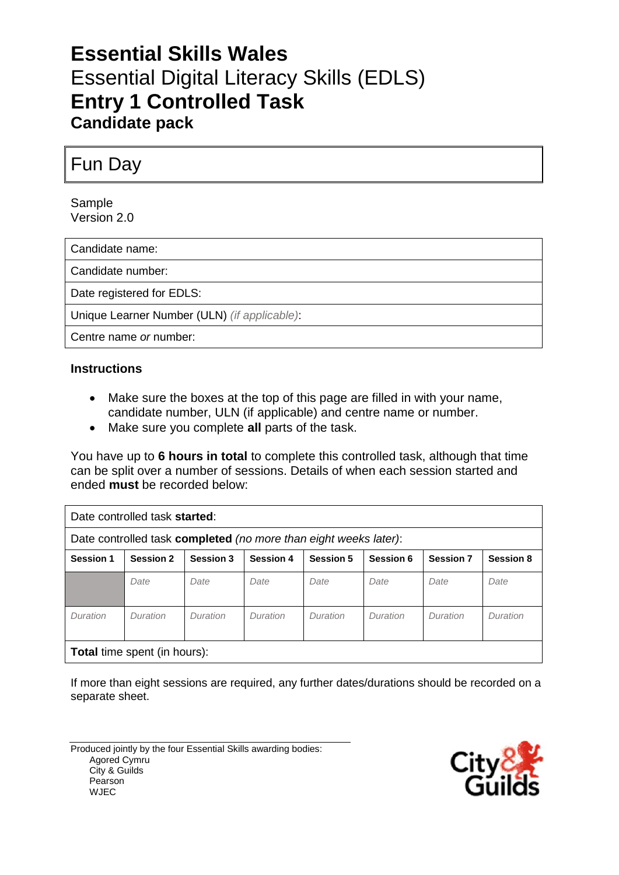# **Essential Skills Wales** Essential Digital Literacy Skills (EDLS) **Entry 1 Controlled Task Candidate pack**

Fun Day

Sample Version 2.0

Candidate name:

Candidate number:

Date registered for EDLS:

Unique Learner Number (ULN) *(if applicable)*:

Centre name *or* number:

#### **Instructions**

- Make sure the boxes at the top of this page are filled in with your name, candidate number, ULN (if applicable) and centre name or number.
- Make sure you complete **all** parts of the task.

You have up to **6 hours in total** to complete this controlled task, although that time can be split over a number of sessions. Details of when each session started and ended **must** be recorded below:

| Date controlled task started:                                    |                  |                  |                  |                  |           |                  |                  |
|------------------------------------------------------------------|------------------|------------------|------------------|------------------|-----------|------------------|------------------|
| Date controlled task completed (no more than eight weeks later): |                  |                  |                  |                  |           |                  |                  |
| <b>Session 1</b>                                                 | <b>Session 2</b> | <b>Session 3</b> | <b>Session 4</b> | <b>Session 5</b> | Session 6 | <b>Session 7</b> | <b>Session 8</b> |
|                                                                  | Date             | Date             | Date             | Date             | Date      | Date             | Date             |
| Duration                                                         | Duration         | Duration         | Duration         | Duration         | Duration  | Duration         | Duration         |
| <b>Total</b> time spent (in hours):                              |                  |                  |                  |                  |           |                  |                  |

If more than eight sessions are required, any further dates/durations should be recorded on a separate sheet.

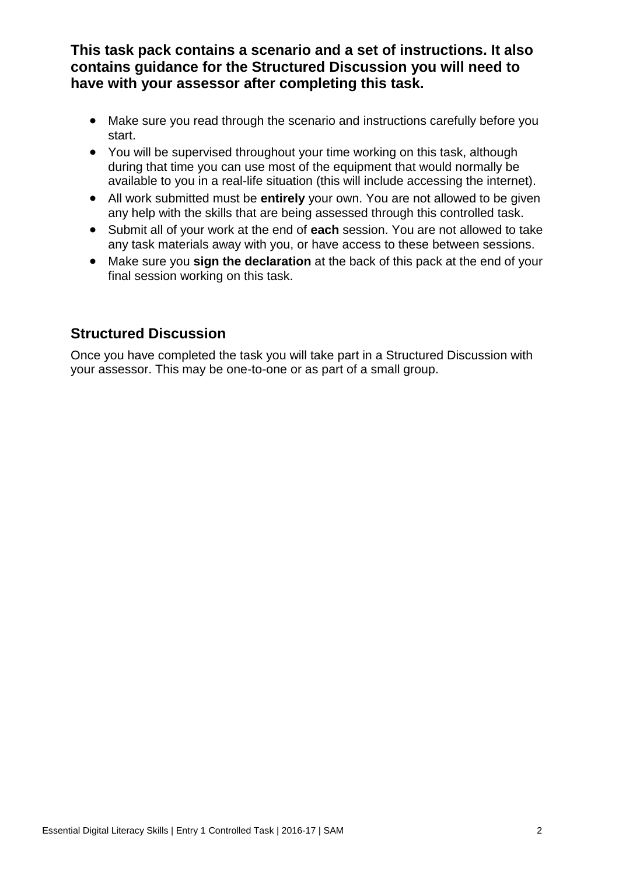**This task pack contains a scenario and a set of instructions. It also contains guidance for the Structured Discussion you will need to have with your assessor after completing this task.**

- Make sure you read through the scenario and instructions carefully before you start.
- You will be supervised throughout your time working on this task, although during that time you can use most of the equipment that would normally be available to you in a real-life situation (this will include accessing the internet).
- All work submitted must be **entirely** your own. You are not allowed to be given any help with the skills that are being assessed through this controlled task.
- Submit all of your work at the end of **each** session. You are not allowed to take any task materials away with you, or have access to these between sessions.
- Make sure you **sign the declaration** at the back of this pack at the end of your final session working on this task.

### **Structured Discussion**

Once you have completed the task you will take part in a Structured Discussion with your assessor. This may be one-to-one or as part of a small group.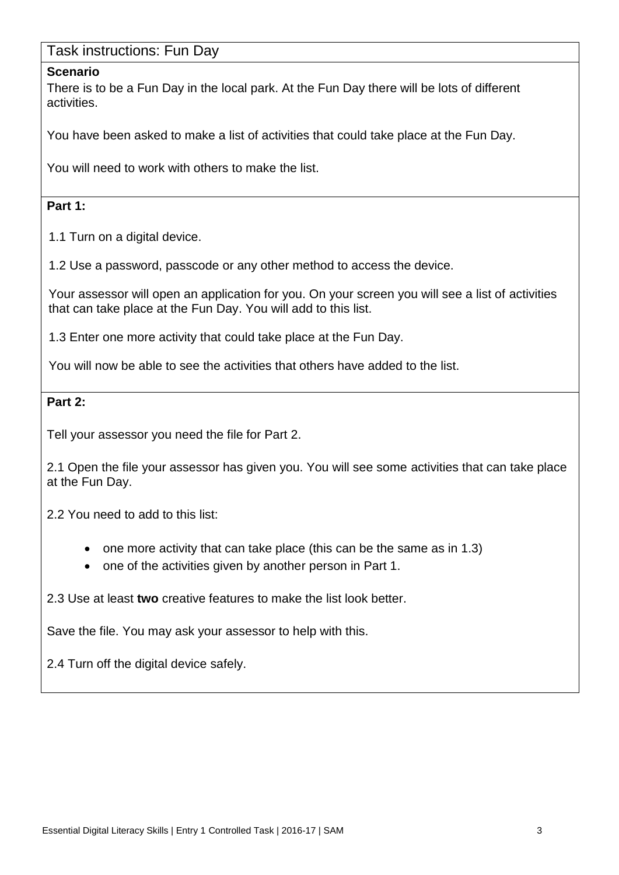### Task instructions: Fun Day

#### **Scenario**

There is to be a Fun Day in the local park. At the Fun Day there will be lots of different activities.

You have been asked to make a list of activities that could take place at the Fun Day.

You will need to work with others to make the list.

#### **Part 1:**

1.1 Turn on a digital device.

1.2 Use a password, passcode or any other method to access the device.

Your assessor will open an application for you. On your screen you will see a list of activities that can take place at the Fun Day. You will add to this list.

1.3 Enter one more activity that could take place at the Fun Day.

You will now be able to see the activities that others have added to the list.

#### **Part 2:**

Tell your assessor you need the file for Part 2.

2.1 Open the file your assessor has given you. You will see some activities that can take place at the Fun Day.

2.2 You need to add to this list:

- one more activity that can take place (this can be the same as in 1.3)
- one of the activities given by another person in Part 1.

2.3 Use at least **two** creative features to make the list look better.

Save the file. You may ask your assessor to help with this.

2.4 Turn off the digital device safely.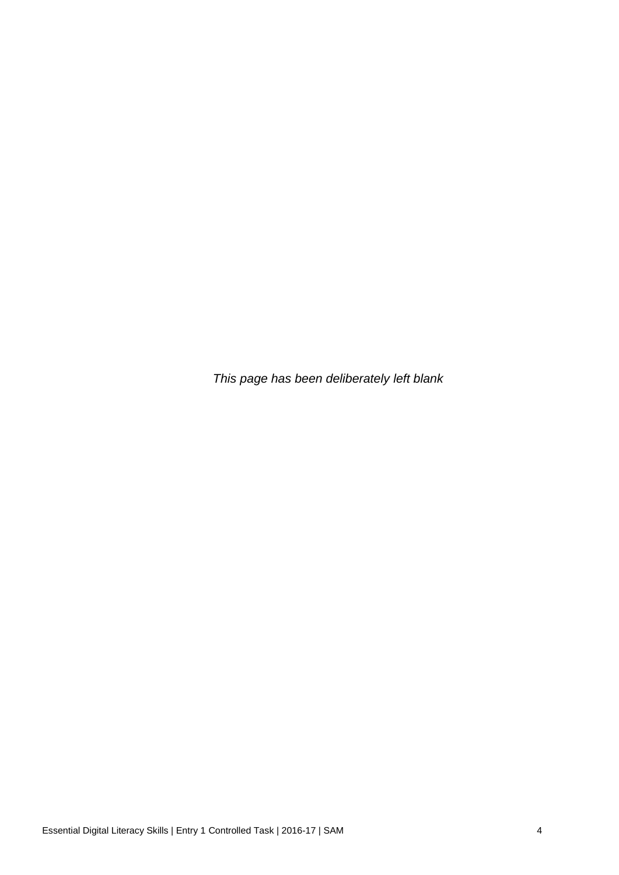*This page has been deliberately left blank*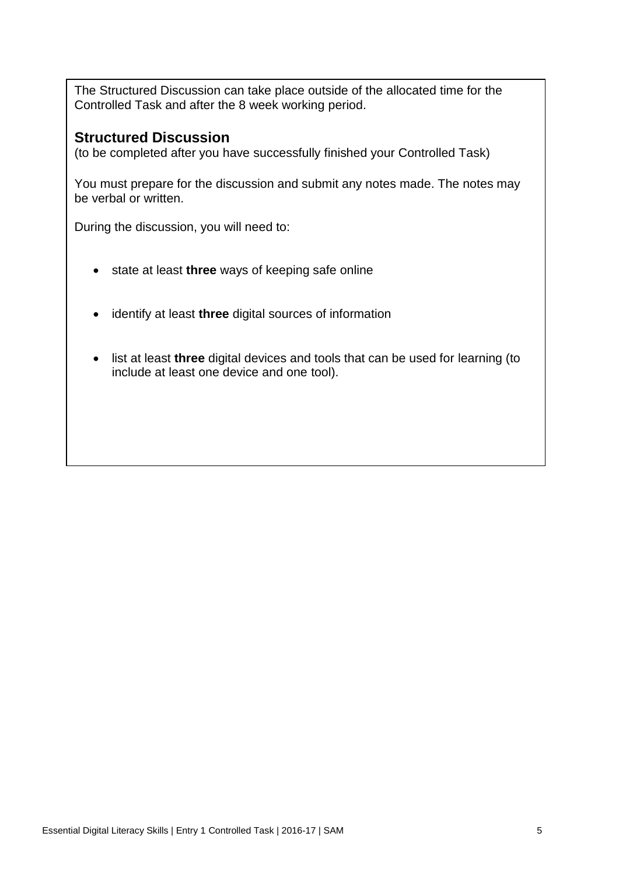The Structured Discussion can take place outside of the allocated time for the Controlled Task and after the 8 week working period.

### **Structured Discussion**

(to be completed after you have successfully finished your Controlled Task)

You must prepare for the discussion and submit any notes made. The notes may be verbal or written.

During the discussion, you will need to:

- **state at least three** ways of keeping safe online
- identify at least **three** digital sources of information
- list at least **three** digital devices and tools that can be used for learning (to include at least one device and one tool).